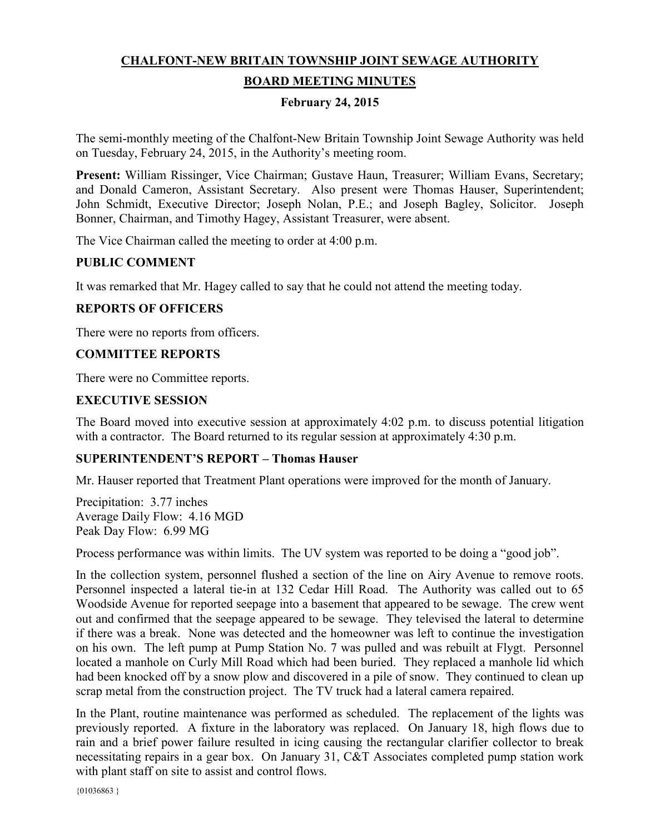# **CHALFONT-NEW BRITAIN TOWNSHIP JOINT SEWAGE AUTHORITY**

# **BOARD MEETING MINUTES**

#### **February 24, 2015**

The semi-monthly meeting of the Chalfont-New Britain Township Joint Sewage Authority was held on Tuesday, February 24, 2015, in the Authority's meeting room.

**Present:** William Rissinger, Vice Chairman; Gustave Haun, Treasurer; William Evans, Secretary; and Donald Cameron, Assistant Secretary. Also present were Thomas Hauser, Superintendent; John Schmidt, Executive Director; Joseph Nolan, P.E.; and Joseph Bagley, Solicitor. Joseph Bonner, Chairman, and Timothy Hagey, Assistant Treasurer, were absent.

The Vice Chairman called the meeting to order at 4:00 p.m.

# **PUBLIC COMMENT**

It was remarked that Mr. Hagey called to say that he could not attend the meeting today.

# **REPORTS OF OFFICERS**

There were no reports from officers.

# **COMMITTEE REPORTS**

There were no Committee reports.

# **EXECUTIVE SESSION**

The Board moved into executive session at approximately 4:02 p.m. to discuss potential litigation with a contractor. The Board returned to its regular session at approximately 4:30 p.m.

#### **SUPERINTENDENT'S REPORT – Thomas Hauser**

Mr. Hauser reported that Treatment Plant operations were improved for the month of January.

Precipitation: 3.77 inches Average Daily Flow: 4.16 MGD Peak Day Flow: 6.99 MG

Process performance was within limits. The UV system was reported to be doing a "good job".

In the collection system, personnel flushed a section of the line on Airy Avenue to remove roots. Personnel inspected a lateral tie-in at 132 Cedar Hill Road. The Authority was called out to 65 Woodside Avenue for reported seepage into a basement that appeared to be sewage. The crew went out and confirmed that the seepage appeared to be sewage. They televised the lateral to determine if there was a break. None was detected and the homeowner was left to continue the investigation on his own. The left pump at Pump Station No. 7 was pulled and was rebuilt at Flygt. Personnel located a manhole on Curly Mill Road which had been buried. They replaced a manhole lid which had been knocked off by a snow plow and discovered in a pile of snow. They continued to clean up scrap metal from the construction project. The TV truck had a lateral camera repaired.

In the Plant, routine maintenance was performed as scheduled. The replacement of the lights was previously reported. A fixture in the laboratory was replaced. On January 18, high flows due to rain and a brief power failure resulted in icing causing the rectangular clarifier collector to break necessitating repairs in a gear box. On January 31, C&T Associates completed pump station work with plant staff on site to assist and control flows.